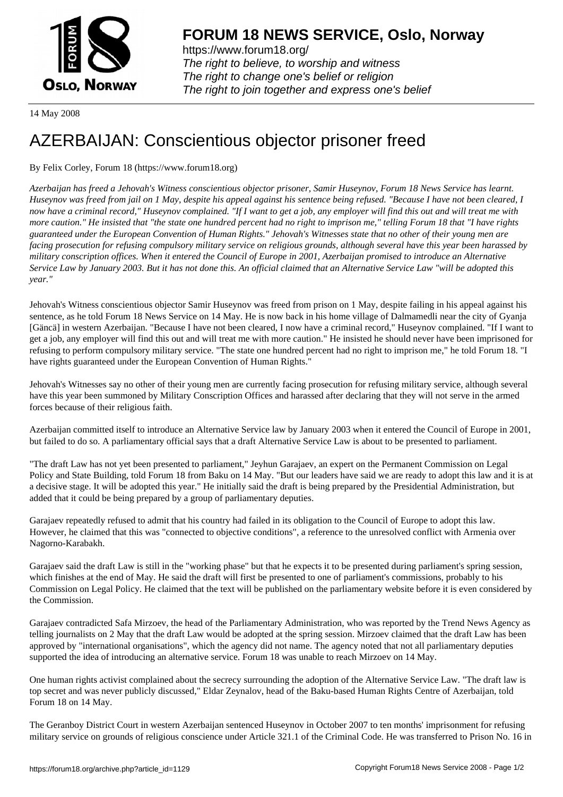

https://www.forum18.org/ The right to believe, to worship and witness The right to change one's belief or religion [The right to join together a](https://www.forum18.org/)nd express one's belief

14 May 2008

## [AZERBAIJAN: C](https://www.forum18.org)onscientious objector prisoner freed

By Felix Corley, Forum 18 (https://www.forum18.org)

*Azerbaijan has freed a Jehovah's Witness conscientious objector prisoner, Samir Huseynov, Forum 18 News Service has learnt. Huseynov was freed from jail on 1 May, despite his appeal against his sentence being refused. "Because I have not been cleared, I now have a criminal record," Huseynov complained. "If I want to get a job, any employer will find this out and will treat me with more caution." He insisted that "the state one hundred percent had no right to imprison me," telling Forum 18 that "I have rights guaranteed under the European Convention of Human Rights." Jehovah's Witnesses state that no other of their young men are facing prosecution for refusing compulsory military service on religious grounds, although several have this year been harassed by military conscription offices. When it entered the Council of Europe in 2001, Azerbaijan promised to introduce an Alternative Service Law by January 2003. But it has not done this. An official claimed that an Alternative Service Law "will be adopted this year."*

Jehovah's Witness conscientious objector Samir Huseynov was freed from prison on 1 May, despite failing in his appeal against his sentence, as he told Forum 18 News Service on 14 May. He is now back in his home village of Dalmamedli near the city of Gyanja [Gäncä] in western Azerbaijan. "Because I have not been cleared, I now have a criminal record," Huseynov complained. "If I want to get a job, any employer will find this out and will treat me with more caution." He insisted he should never have been imprisoned for refusing to perform compulsory military service. "The state one hundred percent had no right to imprison me," he told Forum 18. "I have rights guaranteed under the European Convention of Human Rights."

Jehovah's Witnesses say no other of their young men are currently facing prosecution for refusing military service, although several have this year been summoned by Military Conscription Offices and harassed after declaring that they will not serve in the armed forces because of their religious faith.

Azerbaijan committed itself to introduce an Alternative Service law by January 2003 when it entered the Council of Europe in 2001, but failed to do so. A parliamentary official says that a draft Alternative Service Law is about to be presented to parliament.

"The draft Law has not yet been presented to parliament," Jeyhun Garajaev, an expert on the Permanent Commission on Legal Policy and State Building, told Forum 18 from Baku on 14 May. "But our leaders have said we are ready to adopt this law and it is at a decisive stage. It will be adopted this year." He initially said the draft is being prepared by the Presidential Administration, but added that it could be being prepared by a group of parliamentary deputies.

Garajaev repeatedly refused to admit that his country had failed in its obligation to the Council of Europe to adopt this law. However, he claimed that this was "connected to objective conditions", a reference to the unresolved conflict with Armenia over Nagorno-Karabakh.

Garajaev said the draft Law is still in the "working phase" but that he expects it to be presented during parliament's spring session, which finishes at the end of May. He said the draft will first be presented to one of parliament's commissions, probably to his Commission on Legal Policy. He claimed that the text will be published on the parliamentary website before it is even considered by the Commission.

Garajaev contradicted Safa Mirzoev, the head of the Parliamentary Administration, who was reported by the Trend News Agency as telling journalists on 2 May that the draft Law would be adopted at the spring session. Mirzoev claimed that the draft Law has been approved by "international organisations", which the agency did not name. The agency noted that not all parliamentary deputies supported the idea of introducing an alternative service. Forum 18 was unable to reach Mirzoev on 14 May.

One human rights activist complained about the secrecy surrounding the adoption of the Alternative Service Law. "The draft law is top secret and was never publicly discussed," Eldar Zeynalov, head of the Baku-based Human Rights Centre of Azerbaijan, told Forum 18 on 14 May.

The Geranboy District Court in western Azerbaijan sentenced Huseynov in October 2007 to ten months' imprisonment for refusing military service on grounds of religious conscience under Article 321.1 of the Criminal Code. He was transferred to Prison No. 16 in